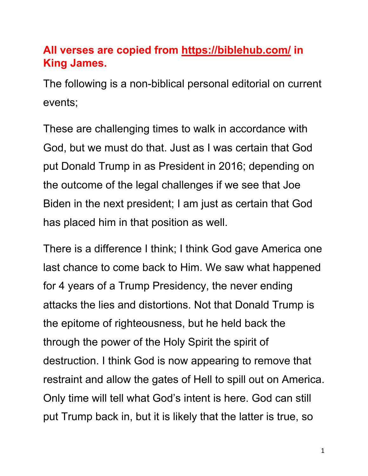# **All verses are copied from https://biblehub.com/ in King James.**

The following is a non-biblical personal editorial on current events;

These are challenging times to walk in accordance with God, but we must do that. Just as I was certain that God put Donald Trump in as President in 2016; depending on the outcome of the legal challenges if we see that Joe Biden in the next president; I am just as certain that God has placed him in that position as well.

There is a difference I think; I think God gave America one last chance to come back to Him. We saw what happened for 4 years of a Trump Presidency, the never ending attacks the lies and distortions. Not that Donald Trump is the epitome of righteousness, but he held back the through the power of the Holy Spirit the spirit of destruction. I think God is now appearing to remove that restraint and allow the gates of Hell to spill out on America. Only time will tell what God's intent is here. God can still put Trump back in, but it is likely that the latter is true, so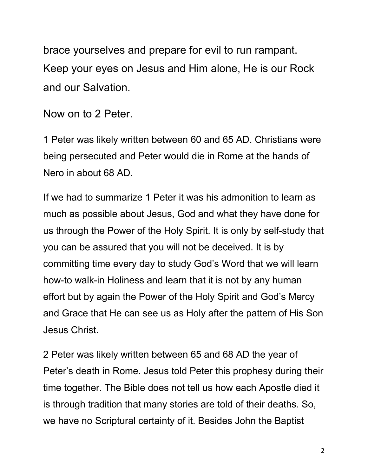brace yourselves and prepare for evil to run rampant. Keep your eyes on Jesus and Him alone, He is our Rock and our Salvation.

Now on to 2 Peter.

1 Peter was likely written between 60 and 65 AD. Christians were being persecuted and Peter would die in Rome at the hands of Nero in about 68 AD.

If we had to summarize 1 Peter it was his admonition to learn as much as possible about Jesus, God and what they have done for us through the Power of the Holy Spirit. It is only by self-study that you can be assured that you will not be deceived. It is by committing time every day to study God's Word that we will learn how-to walk-in Holiness and learn that it is not by any human effort but by again the Power of the Holy Spirit and God's Mercy and Grace that He can see us as Holy after the pattern of His Son Jesus Christ.

2 Peter was likely written between 65 and 68 AD the year of Peter's death in Rome. Jesus told Peter this prophesy during their time together. The Bible does not tell us how each Apostle died it is through tradition that many stories are told of their deaths. So, we have no Scriptural certainty of it. Besides John the Baptist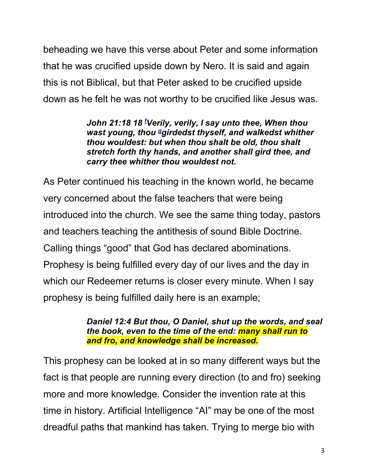beheading we have this verse about Peter and some information that he was crucified upside down by Nero. It is said and again this is not Biblical, but that Peter asked to be crucified upside down as he felt he was not worthy to be crucified like Jesus was.

> *John 21:18 18 <sup>f</sup> Verily, verily, I say unto thee, When thou*  wast young, thou <sup>a</sup>girdedst thyself, and walkedst whither *thou wouldest: but when thou shalt be old, thou shalt stretch forth thy hands, and another shall gird thee, and carry thee whither thou wouldest not.*

As Peter continued his teaching in the known world, he became very concerned about the false teachers that were being introduced into the church. We see the same thing today, pastors and teachers teaching the antithesis of sound Bible Doctrine. Calling things "good" that God has declared abominations. Prophesy is being fulfilled every day of our lives and the day in which our Redeemer returns is closer every minute. When I say prophesy is being fulfilled daily here is an example;

> *Daniel 12:4 But thou, O Daniel, shut up the words, and seal the book, even to the time of the end: many shall run to and fro, and knowledge shall be increased.*

This prophesy can be looked at in so many different ways but the fact is that people are running every direction (to and fro) seeking more and more knowledge. Consider the invention rate at this time in history. Artificial Intelligence "AI" may be one of the most dreadful paths that mankind has taken. Trying to merge bio with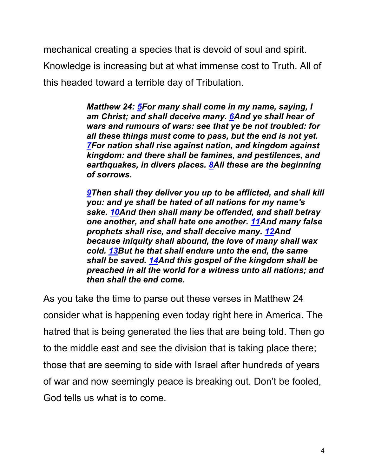mechanical creating a species that is devoid of soul and spirit.

Knowledge is increasing but at what immense cost to Truth. All of this headed toward a terrible day of Tribulation.

> *Matthew 24: 5For many shall come in my name, saying, I am Christ; and shall deceive many. 6And ye shall hear of wars and rumours of wars: see that ye be not troubled: for all these things must come to pass, but the end is not yet. 7For nation shall rise against nation, and kingdom against kingdom: and there shall be famines, and pestilences, and earthquakes, in divers places. 8All these are the beginning of sorrows.*

*9Then shall they deliver you up to be afflicted, and shall kill you: and ye shall be hated of all nations for my name's sake. 10And then shall many be offended, and shall betray one another, and shall hate one another. 11And many false prophets shall rise, and shall deceive many. 12And because iniquity shall abound, the love of many shall wax cold. 13But he that shall endure unto the end, the same shall be saved. 14And this gospel of the kingdom shall be preached in all the world for a witness unto all nations; and then shall the end come.*

As you take the time to parse out these verses in Matthew 24 consider what is happening even today right here in America. The hatred that is being generated the lies that are being told. Then go to the middle east and see the division that is taking place there; those that are seeming to side with Israel after hundreds of years of war and now seemingly peace is breaking out. Don't be fooled, God tells us what is to come.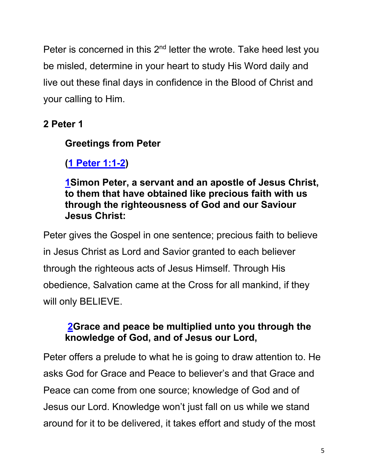Peter is concerned in this 2<sup>nd</sup> letter the wrote. Take heed lest you be misled, determine in your heart to study His Word daily and live out these final days in confidence in the Blood of Christ and your calling to Him.

**2 Peter 1**

## **Greetings from Peter**

**(1 Peter 1:1-2)**

**1Simon Peter, a servant and an apostle of Jesus Christ, to them that have obtained like precious faith with us through the righteousness of God and our Saviour Jesus Christ:**

Peter gives the Gospel in one sentence; precious faith to believe in Jesus Christ as Lord and Savior granted to each believer through the righteous acts of Jesus Himself. Through His obedience, Salvation came at the Cross for all mankind, if they will only BELIEVE.

## **2Grace and peace be multiplied unto you through the knowledge of God, and of Jesus our Lord,**

Peter offers a prelude to what he is going to draw attention to. He asks God for Grace and Peace to believer's and that Grace and Peace can come from one source; knowledge of God and of Jesus our Lord. Knowledge won't just fall on us while we stand around for it to be delivered, it takes effort and study of the most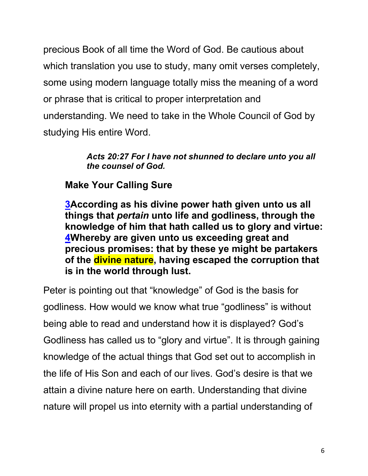precious Book of all time the Word of God. Be cautious about which translation you use to study, many omit verses completely, some using modern language totally miss the meaning of a word or phrase that is critical to proper interpretation and understanding. We need to take in the Whole Council of God by studying His entire Word.

#### *Acts 20:27 For I have not shunned to declare unto you all the counsel of God.*

## **Make Your Calling Sure**

**3According as his divine power hath given unto us all things that** *pertain* **unto life and godliness, through the knowledge of him that hath called us to glory and virtue: 4Whereby are given unto us exceeding great and precious promises: that by these ye might be partakers of the divine nature, having escaped the corruption that is in the world through lust.**

Peter is pointing out that "knowledge" of God is the basis for godliness. How would we know what true "godliness" is without being able to read and understand how it is displayed? God's Godliness has called us to "glory and virtue". It is through gaining knowledge of the actual things that God set out to accomplish in the life of His Son and each of our lives. God's desire is that we attain a divine nature here on earth. Understanding that divine nature will propel us into eternity with a partial understanding of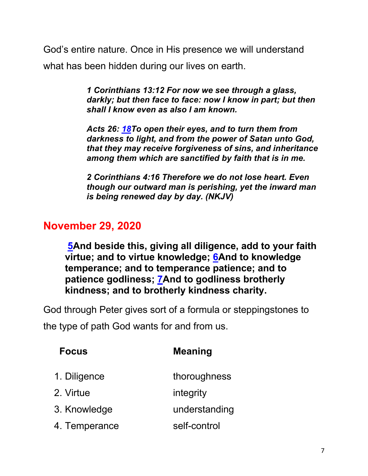God's entire nature. Once in His presence we will understand what has been hidden during our lives on earth.

> *1 Corinthians 13:12 For now we see through a glass, darkly; but then face to face: now I know in part; but then shall I know even as also I am known.*

*Acts 26: 18To open their eyes, and to turn them from darkness to light, and from the power of Satan unto God, that they may receive forgiveness of sins, and inheritance among them which are sanctified by faith that is in me.*

*2 Corinthians 4:16 Therefore we do not lose heart. Even though our outward man is perishing, yet the inward man is being renewed day by day. (NKJV)*

## **November 29, 2020**

**5And beside this, giving all diligence, add to your faith virtue; and to virtue knowledge; 6And to knowledge temperance; and to temperance patience; and to patience godliness; 7And to godliness brotherly kindness; and to brotherly kindness charity.**

God through Peter gives sort of a formula or steppingstones to the type of path God wants for and from us.

| <b>Focus</b>  | <b>Meaning</b> |
|---------------|----------------|
| 1. Diligence  | thoroughness   |
| 2. Virtue     | integrity      |
| 3. Knowledge  | understanding  |
| 4. Temperance | self-control   |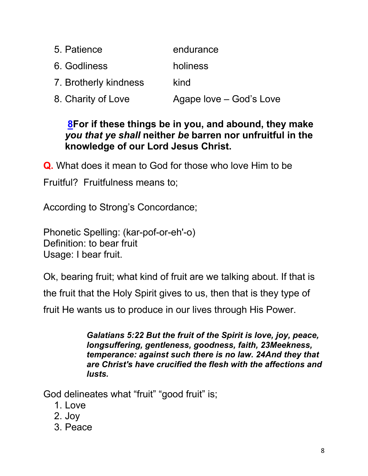| 5. Patience           | endurance               |
|-----------------------|-------------------------|
| 6. Godliness          | holiness                |
| 7. Brotherly kindness | kind                    |
| 8. Charity of Love    | Agape love – God's Love |

## **8For if these things be in you, and abound, they make**  *you that ye shall* **neither** *be* **barren nor unfruitful in the knowledge of our Lord Jesus Christ.**

**Q.** What does it mean to God for those who love Him to be

Fruitful? Fruitfulness means to;

According to Strong's Concordance;

Phonetic Spelling: (kar-pof-or-eh'-o) Definition: to bear fruit Usage: I bear fruit.

Ok, bearing fruit; what kind of fruit are we talking about. If that is

the fruit that the Holy Spirit gives to us, then that is they type of

fruit He wants us to produce in our lives through His Power.

*Galatians 5:22 But the fruit of the Spirit is love, joy, peace, longsuffering, gentleness, goodness, faith, 23Meekness, temperance: against such there is no law. 24And they that are Christ's have crucified the flesh with the affections and lusts.*

God delineates what "fruit" "good fruit" is;

- 1. Love
- 2. Joy
- 3. Peace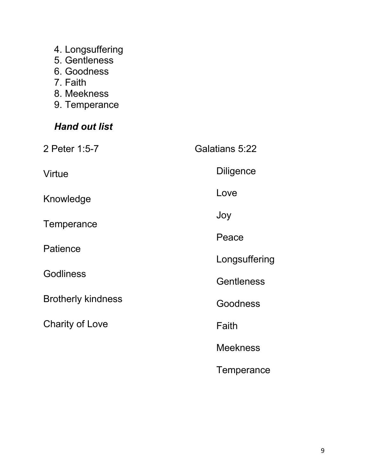- 4. Longsuffering
- 5. Gentleness
- 6. Goodness
- 7. Faith
- 8. Meekness
- 9. Temperance

## *Hand out list*

| 2 Peter 1:5-7                | <b>Galatians 5:22</b> |
|------------------------------|-----------------------|
| Virtue                       | <b>Diligence</b>      |
| Knowledge                    | Love                  |
| Temperance                   | Joy                   |
| Patience<br><b>Godliness</b> | Peace                 |
|                              | Longsuffering         |
|                              | <b>Gentleness</b>     |
| <b>Brotherly kindness</b>    | Goodness              |
| <b>Charity of Love</b>       | Faith                 |
|                              | <b>Meekness</b>       |
|                              | Temperance            |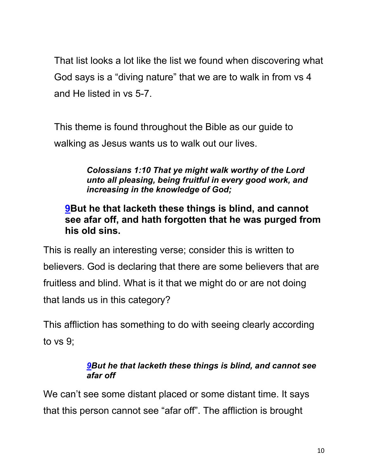That list looks a lot like the list we found when discovering what God says is a "diving nature" that we are to walk in from vs 4 and He listed in vs 5-7.

This theme is found throughout the Bible as our guide to walking as Jesus wants us to walk out our lives.

> *Colossians 1:10 That ye might walk worthy of the Lord unto all pleasing, being fruitful in every good work, and increasing in the knowledge of God;*

## **9But he that lacketh these things is blind, and cannot see afar off, and hath forgotten that he was purged from his old sins.**

This is really an interesting verse; consider this is written to believers. God is declaring that there are some believers that are fruitless and blind. What is it that we might do or are not doing that lands us in this category?

This affliction has something to do with seeing clearly according to vs 9;

#### *9But he that lacketh these things is blind, and cannot see afar off*

We can't see some distant placed or some distant time. It says that this person cannot see "afar off". The affliction is brought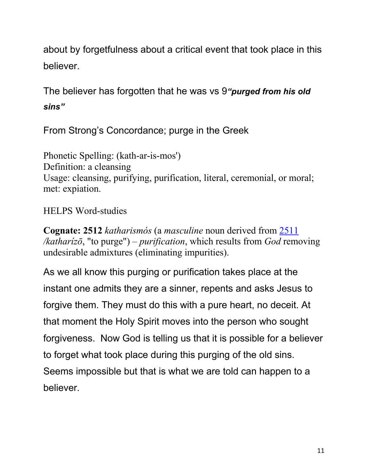about by forgetfulness about a critical event that took place in this believer.

The believer has forgotten that he was vs 9*"purged from his old sins"*

From Strong's Concordance; purge in the Greek

Phonetic Spelling: (kath-ar-is-mos') Definition: a cleansing Usage: cleansing, purifying, purification, literal, ceremonial, or moral; met: expiation.

### HELPS Word-studies

**Cognate: 2512** *katharismós* (a *masculine* noun derived from 2511 */katharízō*, "to purge") – *purification*, which results from *God* removing undesirable admixtures (eliminating impurities).

As we all know this purging or purification takes place at the instant one admits they are a sinner, repents and asks Jesus to forgive them. They must do this with a pure heart, no deceit. At that moment the Holy Spirit moves into the person who sought forgiveness. Now God is telling us that it is possible for a believer to forget what took place during this purging of the old sins. Seems impossible but that is what we are told can happen to a believer.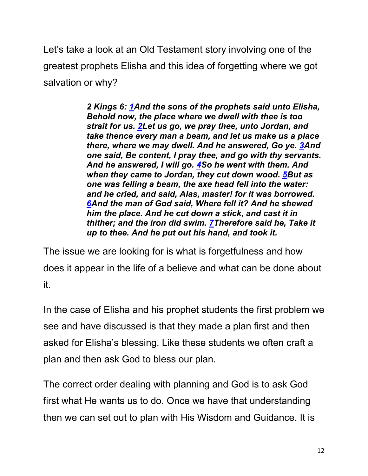Let's take a look at an Old Testament story involving one of the greatest prophets Elisha and this idea of forgetting where we got salvation or why?

> *2 Kings 6: 1And the sons of the prophets said unto Elisha, Behold now, the place where we dwell with thee is too strait for us. 2Let us go, we pray thee, unto Jordan, and take thence every man a beam, and let us make us a place there, where we may dwell. And he answered, Go ye. 3And one said, Be content, I pray thee, and go with thy servants. And he answered, I will go. 4So he went with them. And when they came to Jordan, they cut down wood. 5But as one was felling a beam, the axe head fell into the water: and he cried, and said, Alas, master! for it was borrowed. 6And the man of God said, Where fell it? And he shewed him the place. And he cut down a stick, and cast it in thither; and the iron did swim. 7Therefore said he, Take it up to thee. And he put out his hand, and took it.*

The issue we are looking for is what is forgetfulness and how does it appear in the life of a believe and what can be done about it.

In the case of Elisha and his prophet students the first problem we see and have discussed is that they made a plan first and then asked for Elisha's blessing. Like these students we often craft a plan and then ask God to bless our plan.

The correct order dealing with planning and God is to ask God first what He wants us to do. Once we have that understanding then we can set out to plan with His Wisdom and Guidance. It is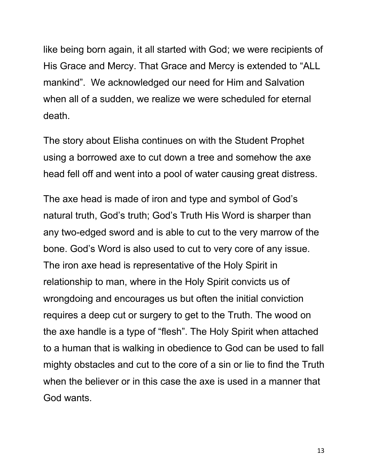like being born again, it all started with God; we were recipients of His Grace and Mercy. That Grace and Mercy is extended to "ALL mankind". We acknowledged our need for Him and Salvation when all of a sudden, we realize we were scheduled for eternal death.

The story about Elisha continues on with the Student Prophet using a borrowed axe to cut down a tree and somehow the axe head fell off and went into a pool of water causing great distress.

The axe head is made of iron and type and symbol of God's natural truth, God's truth; God's Truth His Word is sharper than any two-edged sword and is able to cut to the very marrow of the bone. God's Word is also used to cut to very core of any issue. The iron axe head is representative of the Holy Spirit in relationship to man, where in the Holy Spirit convicts us of wrongdoing and encourages us but often the initial conviction requires a deep cut or surgery to get to the Truth. The wood on the axe handle is a type of "flesh". The Holy Spirit when attached to a human that is walking in obedience to God can be used to fall mighty obstacles and cut to the core of a sin or lie to find the Truth when the believer or in this case the axe is used in a manner that God wants.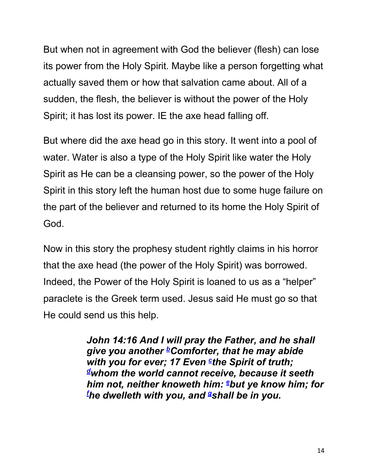But when not in agreement with God the believer (flesh) can lose its power from the Holy Spirit. Maybe like a person forgetting what actually saved them or how that salvation came about. All of a sudden, the flesh, the believer is without the power of the Holy Spirit; it has lost its power. IE the axe head falling off.

But where did the axe head go in this story. It went into a pool of water. Water is also a type of the Holy Spirit like water the Holy Spirit as He can be a cleansing power, so the power of the Holy Spirit in this story left the human host due to some huge failure on the part of the believer and returned to its home the Holy Spirit of God.

Now in this story the prophesy student rightly claims in his horror that the axe head (the power of the Holy Spirit) was borrowed. Indeed, the Power of the Holy Spirit is loaned to us as a "helper" paraclete is the Greek term used. Jesus said He must go so that He could send us this help.

> *John 14:16 And I will pray the Father, and he shall give you another bComforter, that he may abide with you for ever; 17 Even <sup>c</sup>the Spirit of truth; dwhom the world cannot receive, because it seeth him not, neither knoweth him: ebut ye know him; for f he dwelleth with you, and gshall be in you.*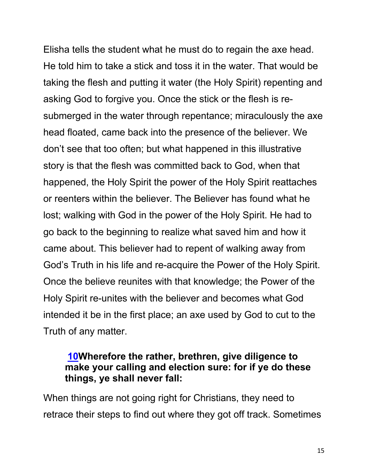Elisha tells the student what he must do to regain the axe head. He told him to take a stick and toss it in the water. That would be taking the flesh and putting it water (the Holy Spirit) repenting and asking God to forgive you. Once the stick or the flesh is resubmerged in the water through repentance; miraculously the axe head floated, came back into the presence of the believer. We don't see that too often; but what happened in this illustrative story is that the flesh was committed back to God, when that happened, the Holy Spirit the power of the Holy Spirit reattaches or reenters within the believer. The Believer has found what he lost; walking with God in the power of the Holy Spirit. He had to go back to the beginning to realize what saved him and how it came about. This believer had to repent of walking away from God's Truth in his life and re-acquire the Power of the Holy Spirit. Once the believe reunites with that knowledge; the Power of the Holy Spirit re-unites with the believer and becomes what God intended it be in the first place; an axe used by God to cut to the Truth of any matter.

#### **10Wherefore the rather, brethren, give diligence to make your calling and election sure: for if ye do these things, ye shall never fall:**

When things are not going right for Christians, they need to retrace their steps to find out where they got off track. Sometimes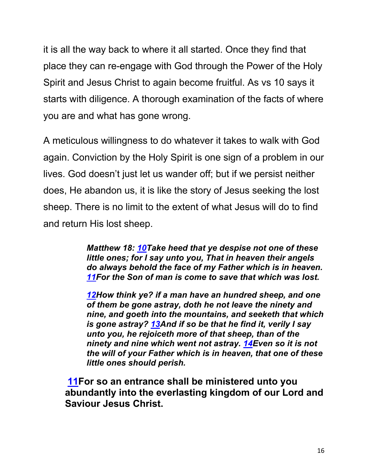it is all the way back to where it all started. Once they find that place they can re-engage with God through the Power of the Holy Spirit and Jesus Christ to again become fruitful. As vs 10 says it starts with diligence. A thorough examination of the facts of where you are and what has gone wrong.

A meticulous willingness to do whatever it takes to walk with God again. Conviction by the Holy Spirit is one sign of a problem in our lives. God doesn't just let us wander off; but if we persist neither does, He abandon us, it is like the story of Jesus seeking the lost sheep. There is no limit to the extent of what Jesus will do to find and return His lost sheep.

> *Matthew 18: 10Take heed that ye despise not one of these little ones; for I say unto you, That in heaven their angels do always behold the face of my Father which is in heaven. 11For the Son of man is come to save that which was lost.*

> *12How think ye? if a man have an hundred sheep, and one of them be gone astray, doth he not leave the ninety and nine, and goeth into the mountains, and seeketh that which is gone astray? 13And if so be that he find it, verily I say unto you, he rejoiceth more of that sheep, than of the ninety and nine which went not astray. 14Even so it is not the will of your Father which is in heaven, that one of these little ones should perish.*

**11For so an entrance shall be ministered unto you abundantly into the everlasting kingdom of our Lord and Saviour Jesus Christ.**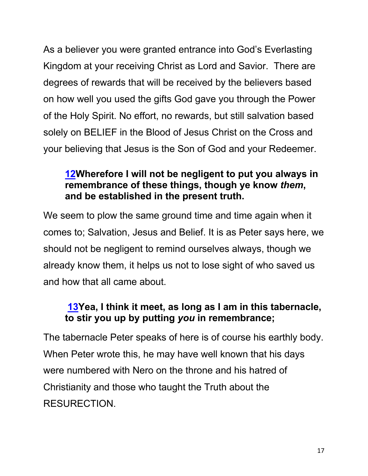As a believer you were granted entrance into God's Everlasting Kingdom at your receiving Christ as Lord and Savior. There are degrees of rewards that will be received by the believers based on how well you used the gifts God gave you through the Power of the Holy Spirit. No effort, no rewards, but still salvation based solely on BELIEF in the Blood of Jesus Christ on the Cross and your believing that Jesus is the Son of God and your Redeemer.

## **12Wherefore I will not be negligent to put you always in remembrance of these things, though ye know** *them***, and be established in the present truth.**

We seem to plow the same ground time and time again when it comes to; Salvation, Jesus and Belief. It is as Peter says here, we should not be negligent to remind ourselves always, though we already know them, it helps us not to lose sight of who saved us and how that all came about.

## **13Yea, I think it meet, as long as I am in this tabernacle, to stir you up by putting** *you* **in remembrance;**

The tabernacle Peter speaks of here is of course his earthly body. When Peter wrote this, he may have well known that his days were numbered with Nero on the throne and his hatred of Christianity and those who taught the Truth about the RESURECTION.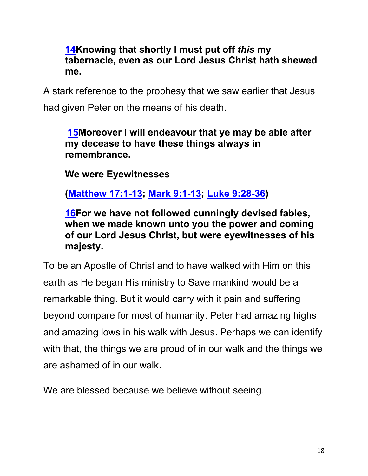### **14Knowing that shortly I must put off** *this* **my tabernacle, even as our Lord Jesus Christ hath shewed me.**

A stark reference to the prophesy that we saw earlier that Jesus had given Peter on the means of his death.

### **15Moreover I will endeavour that ye may be able after my decease to have these things always in remembrance.**

**We were Eyewitnesses**

**(Matthew 17:1-13; Mark 9:1-13; Luke 9:28-36)**

**16For we have not followed cunningly devised fables, when we made known unto you the power and coming of our Lord Jesus Christ, but were eyewitnesses of his majesty.**

To be an Apostle of Christ and to have walked with Him on this earth as He began His ministry to Save mankind would be a remarkable thing. But it would carry with it pain and suffering beyond compare for most of humanity. Peter had amazing highs and amazing lows in his walk with Jesus. Perhaps we can identify with that, the things we are proud of in our walk and the things we are ashamed of in our walk.

We are blessed because we believe without seeing.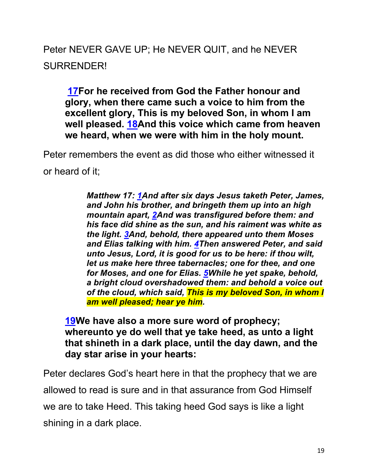# Peter NEVER GAVE UP; He NEVER QUIT, and he NEVER SURRENDER!

**17For he received from God the Father honour and glory, when there came such a voice to him from the excellent glory, This is my beloved Son, in whom I am well pleased. 18And this voice which came from heaven we heard, when we were with him in the holy mount.**

Peter remembers the event as did those who either witnessed it or heard of it;

> *Matthew 17: 1And after six days Jesus taketh Peter, James, and John his brother, and bringeth them up into an high mountain apart, 2And was transfigured before them: and his face did shine as the sun, and his raiment was white as the light. 3And, behold, there appeared unto them Moses and Elias talking with him. 4Then answered Peter, and said unto Jesus, Lord, it is good for us to be here: if thou wilt, let us make here three tabernacles; one for thee, and one for Moses, and one for Elias. 5While he yet spake, behold, a bright cloud overshadowed them: and behold a voice out of the cloud, which said, This is my beloved Son, in whom I am well pleased; hear ye him.*

**19We have also a more sure word of prophecy; whereunto ye do well that ye take heed, as unto a light that shineth in a dark place, until the day dawn, and the day star arise in your hearts:**

Peter declares God's heart here in that the prophecy that we are allowed to read is sure and in that assurance from God Himself we are to take Heed. This taking heed God says is like a light shining in a dark place.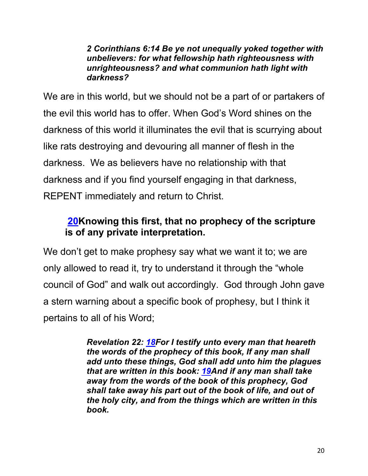#### *2 Corinthians 6:14 Be ye not unequally yoked together with unbelievers: for what fellowship hath righteousness with unrighteousness? and what communion hath light with darkness?*

We are in this world, but we should not be a part of or partakers of the evil this world has to offer. When God's Word shines on the darkness of this world it illuminates the evil that is scurrying about like rats destroying and devouring all manner of flesh in the darkness. We as believers have no relationship with that darkness and if you find yourself engaging in that darkness, REPENT immediately and return to Christ.

## **20Knowing this first, that no prophecy of the scripture is of any private interpretation.**

We don't get to make prophesy say what we want it to; we are only allowed to read it, try to understand it through the "whole council of God" and walk out accordingly. God through John gave a stern warning about a specific book of prophesy, but I think it pertains to all of his Word;

> *Revelation 22: 18For I testify unto every man that heareth the words of the prophecy of this book, If any man shall add unto these things, God shall add unto him the plagues that are written in this book: 19And if any man shall take away from the words of the book of this prophecy, God shall take away his part out of the book of life, and out of the holy city, and from the things which are written in this book.*